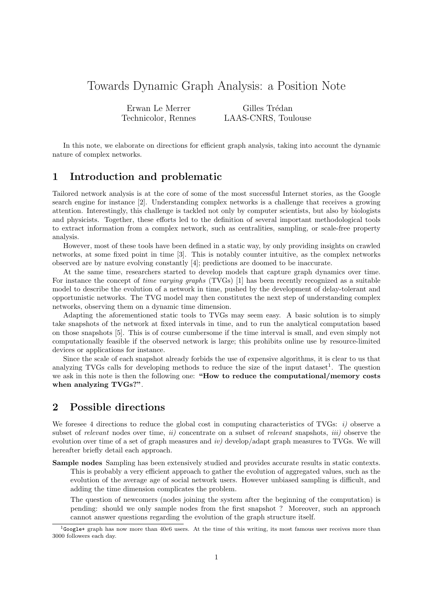## Towards Dynamic Graph Analysis: a Position Note

Erwan Le Merrer Technicolor, Rennes

Gilles Trédan LAAS-CNRS, Toulouse

In this note, we elaborate on directions for efficient graph analysis, taking into account the dynamic nature of complex networks.

## 1 Introduction and problematic

Tailored network analysis is at the core of some of the most successful Internet stories, as the Google search engine for instance [2]. Understanding complex networks is a challenge that receives a growing attention. Interestingly, this challenge is tackled not only by computer scientists, but also by biologists and physicists. Together, these efforts led to the definition of several important methodological tools to extract information from a complex network, such as centralities, sampling, or scale-free property analysis.

However, most of these tools have been defined in a static way, by only providing insights on crawled networks, at some fixed point in time [3]. This is notably counter intuitive, as the complex networks observed are by nature evolving constantly [4]; predictions are doomed to be inaccurate.

At the same time, researchers started to develop models that capture graph dynamics over time. For instance the concept of time varying graphs (TVGs) [1] has been recently recognized as a suitable model to describe the evolution of a network in time, pushed by the development of delay-tolerant and opportunistic networks. The TVG model may then constitutes the next step of understanding complex networks, observing them on a dynamic time dimension.

Adapting the aforementioned static tools to TVGs may seem easy. A basic solution is to simply take snapshots of the network at fixed intervals in time, and to run the analytical computation based on those snapshots [5]. This is of course cumbersome if the time interval is small, and even simply not computationally feasible if the observed network is large; this prohibits online use by resource-limited devices or applications for instance.

Since the scale of each snapshot already forbids the use of expensive algorithms, it is clear to us that analyzing TVGs calls for developing methods to reduce the size of the input dataset<sup>1</sup>. The question we ask in this note is then the following one: "How to reduce the computational/memory costs when analyzing TVGs?".

## 2 Possible directions

We foresee 4 directions to reduce the global cost in computing characteristics of TVGs:  $i$ ) observe a subset of relevant nodes over time, ii) concentrate on a subset of relevant snapshots, iii) observe the evolution over time of a set of graph measures and iv) develop/adapt graph measures to TVGs. We will hereafter briefly detail each approach.

Sample nodes Sampling has been extensively studied and provides accurate results in static contexts. This is probably a very efficient approach to gather the evolution of aggregated values, such as the evolution of the average age of social network users. However unbiased sampling is difficult, and adding the time dimension complicates the problem.

The question of newcomers (nodes joining the system after the beginning of the computation) is pending: should we only sample nodes from the first snapshot ? Moreover, such an approach cannot answer questions regarding the evolution of the graph structure itself.

<sup>&</sup>lt;sup>1</sup>Google+ graph has now more than 40e6 users. At the time of this writing, its most famous user receives more than 3000 followers each day.